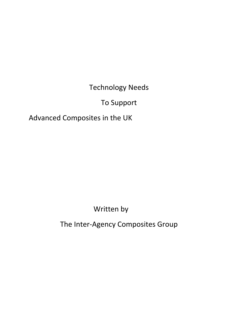Technology Needs

To Support

Advanced Composites in the UK

Written by

The Inter‐Agency Composites Group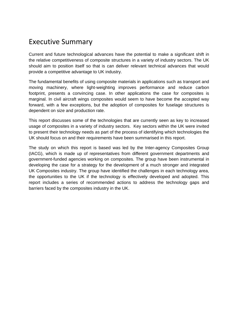# Executive Summary

Current and future technological advances have the potential to make a significant shift in the relative competitiveness of composite structures in a variety of industry sectors. The UK should aim to position itself so that is can deliver relevant technical advances that would provide a competitive advantage to UK industry.

The fundamental benefits of using composite materials in applications such as transport and moving machinery, where light-weighting improves performance and reduce carbon footprint, presents a convincing case. In other applications the case for composites is marginal. In civil aircraft wings composites would seem to have become the accepted way forward, with a few exceptions, but the adoption of composites for fuselage structures is dependent on size and production rate.

This report discusses some of the technologies that are currently seen as key to increased usage of composites in a variety of industry sectors. Key sectors within the UK were invited to present their technology needs as part of the process of identifying which technologies the UK should focus on and their requirements have been summarised in this report.

The study on which this report is based was led by the Inter-agency Composites Group (IACG), which is made up of representatives from different government departments and government-funded agencies working on composites. The group have been instrumental in developing the case for a strategy for the development of a much stronger and integrated UK Composites industry. The group have identified the challenges in each technology area, the opportunities to the UK if the technology is effectively developed and adopted. This report includes a series of recommended actions to address the technology gaps and barriers faced by the composites industry in the UK.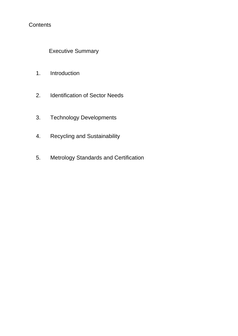# **Contents**

Executive Summary

- 1. Introduction
- 2. Identification of Sector Needs
- 3. Technology Developments
- 4. Recycling and Sustainability
- 5. Metrology Standards and Certification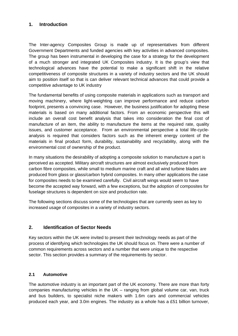# **1. Introduction**

The Inter-agency Composites Group is made up of representatives from different Government Departments and funded agencies with key activities in advanced composites. The group has been instrumental in developing the case for a strategy for the development of a much stronger and integrated UK Composites industry. It is the group's view that technological advances have the potential to make a significant shift in the relative competitiveness of composite structures in a variety of industry sectors and the UK should aim to position itself so that is can deliver relevant technical advances that could provide a competitive advantage to UK industry

The fundamental benefits of using composite materials in applications such as transport and moving machinery, where light-weighting can improve performance and reduce carbon footprint, presents a convincing case. However, the business justification for adopting these materials is based on many additional factors. From an economic perspective this will include an overall cost benefit analysis that takes into consideration the final cost of manufacture of an item, the ability to manufacture the items at the required rate, quality issues, and customer acceptance. From an environmental perspective a total life-cycleanalysis is required that considers factors such as the inherent energy content of the materials in final product form, durability, sustainability and recyclability, along with the environmental cost of ownership of the product.

In many situations the desirability of adopting a composite solution to manufacture a part is perceived as accepted. Military aircraft structures are almost exclusively produced from carbon fibre composites, while small to medium marine craft and all wind turbine blades are produced from glass or glass/carbon hybrid composites. In many other applications the case for composites needs to be examined carefully. Civil aircraft wings would seem to have become the accepted way forward, with a few exceptions, but the adoption of composites for fuselage structures is dependent on size and production rate.

The following sections discuss some of the technologies that are currently seen as key to increased usage of composites in a variety of industry sectors.

# **2. Identification of Sector Needs**

Key sectors within the UK were invited to present their technology needs as part of the process of identifying which technologies the UK should focus on. There were a number of common requirements across sectors and a number that were unique to the respective sector. This section provides a summary of the requirements by sector.

#### **2.1 Automotive**

The automotive industry is an important part of the UK economy. There are more than forty companies manufacturing vehicles in the UK – ranging from global volume car, van, truck and bus builders, to specialist niche makers with 1.6m cars and commercial vehicles produced each year, and 3.0m engines. The industry as a whole has a £51 billion turnover,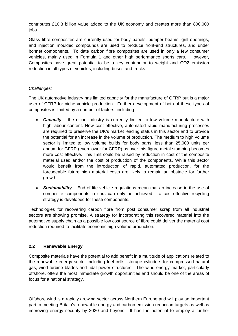contributes £10.3 billion value added to the UK economy and creates more than 800,000 jobs.

Glass fibre composites are currently used for body panels, bumper beams, grill openings, and injection moulded compounds are used to produce front-end structures, and under bonnet components. To date carbon fibre composites are used in only a few consumer vehicles, mainly used in Formula 1 and other high performance sports cars. However, Composites have great potential to be a key contributor to weight and CO2 emission reduction in all types of vehicles, including buses and trucks.

#### *Challenges:*

The UK automotive industry has limited capacity for the manufacture of GFRP but is a major user of CFRP for niche vehicle production. Further development of both of these types of composites is limited by a number of factors, including:

- **Capacity** the niche industry is currently limited to low volume manufacture with high labour content. New cost effective, automated rapid manufacturing processes are required to preserve the UK's market leading status in this sector and to provide the potential for an increase in the volume of production. The medium to high volume sector is limited to low volume builds for body parts, less than 25,000 units per annum for GFRP (even lower for CFRP) as over this figure metal stamping becomes more cost effective. This limit could be raised by reduction in cost of the composite material used and/or the cost of production of the components. While this sector would benefit from the introduction of rapid, automated production, for the foreseeable future high material costs are likely to remain an obstacle for further growth.
- *Sustainability* End of life vehicle regulations mean that an increase in the use of composite components in cars can only be achieved if a cost-effective recycling strategy is developed for these components.

Technologies for recovering carbon fibre from post consumer scrap from all industrial sectors are showing promise. A strategy for incorporating this recovered material into the automotive supply chain as a possible low cost source of fibre could deliver the material cost reduction required to facilitate economic high volume production.

# **2.2 Renewable Energy**

Composite materials have the potential to add benefit in a multitude of applications related to the renewable energy sector including fuel cells, storage cylinders for compressed natural gas, wind turbine blades and tidal power structures. The wind energy market, particularly offshore, offers the most immediate growth opportunities and should be one of the areas of focus for a national strategy.

Offshore wind is a rapidly growing sector across Northern Europe and will play an important part in meeting Britain's renewable energy and carbon emission reduction targets as well as improving energy security by 2020 and beyond. It has the potential to employ a further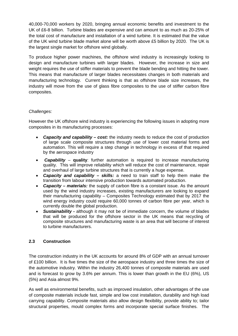40,000-70,000 workers by 2020, bringing annual economic benefits and investment to the UK of £6-8 billion. Turbine blades are expensive and can amount to as much as 20-25% of the total cost of manufacture and installation of a wind turbine. It is estimated that the value of the UK wind turbine blade market alone will be worth above £5 billion by 2020. The UK is the largest single market for offshore wind globally.

To produce higher power machines, the offshore wind industry is increasingly looking to design and manufacture turbines with larger blades. However, the increase in size and weight requires the use of stiffer materials to prevent the blade bending and hitting the tower. This means that manufacture of larger blades necessitates changes in both materials and manufacturing technology. Current thinking is that as offshore blade size increases, the industry will move from the use of glass fibre composites to the use of stiffer carbon fibre composites.

#### *Challenges:*

However the UK offshore wind industry is experiencing the following issues in adopting more composites in its manufacturing processes:

- *Capacity and capability cost:* the industry needs to reduce the cost of production of large scale composite structures through use of lower cost material forms and automation. This will require a step change in technology in excess of that required by the aerospace industry
- • *Capability*  **quality**: further automation is required to increase manufacturing quality. This will improve reliability which will reduce the cost of maintenance, repair and overhaul of large turbine structures that is currently a huge expense.
- *Capacity and capability skills:* a need to train staff to help them make the transition from labour intensive production towards automated production.
- *Capacity – materials:* the supply of carbon fibre is a constant issue. As the amount used by the wind industry increases, existing manufacturers are looking to expand their manufacturing capability – Composites Technology estimated that by 2017 the wind energy industry could require 60,000 tonnes of carbon fibre per year, which is currently double the global production.
- **Sustainability -** although it may not be of immediate concern, the volume of blades that will be produced for the offshore sector in the UK means that recycling of composite structures and manufacturing waste is an area that will become of interest to turbine manufacturers.

#### **2.3 Construction**

The construction industry in the UK accounts for around 8% of GDP with an annual turnover of £100 billion. It is five times the size of the aerospace industry and three times the size of the automotive industry. Within the industry 26,400 tonnes of composite materials are used and is forecast to grow by 3.6% per annum. This is lower than growth in the EU (6%), US (5%) and Asia almost 9%.

As well as environmental benefits, such as improved insulation, other advantages of the use of composite materials include fast, simple and low cost installation, durability and high load carrying capability. Composite materials also allow design flexibility, provide ability to; tailor structural properties, mould complex forms and incorporate special surface finishes. The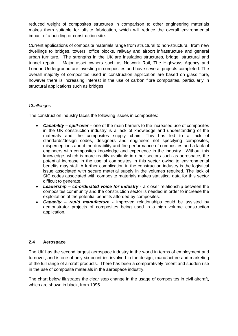reduced weight of composites structures in comparison to other engineering materials makes them suitable for offsite fabrication, which will reduce the overall environmental impact of a building or construction site.

Current applications of composite materials range from structural to non-structural, from new dwellings to bridges, towers, office blocks, railway and airport infrastructure and general urban furniture. The strengths in the UK are insulating structures, bridge, structural and tunnel repair. Major asset owners such as Network Rail, The Highways Agency and London Underground are investing in composites and have several projects completed. The overall majority of composites used in construction application are based on glass fibre, however there is increasing interest in the use of carbon fibre composites, particularly in structural applications such as bridges.

# *Challenges:*

The construction industry faces the following issues in composites:

- *Capability spill-over* one of the main barriers to the increased use of composites in the UK construction industry is a lack of knowledge and understanding of the materials and the composites supply chain. This has led to a lack of standards/design codes, designers and engineers not specifying composites, misperceptions about the durability and fire performance of composites and a lack of engineers with composites knowledge and experience in the industry. Without this knowledge, which is more readily available in other sectors such as aerospace, the potential increase in the use of composites in this sector owing to environmental benefits may stall. A further complication in the construction industry is the logistical issue associated with secure material supply in the volumes required. The lack of SIC codes associated with composite materials makes statistical data for this sector difficult to generate.
- *Leadership co-ordinated voice for industry -* a closer relationship between the composites community and the construction sector is needed in order to increase the exploitation of the potential benefits afforded by composites.
- *Capacity rapid manufacture* improved relationships could be assisted by demonstrator projects of composites being used in a high volume construction application.

#### **2.4 Aerospace**

The UK has the second largest aerospace industry in the world in terms of employment and turnover, and is one of only six countries involved in the design, manufacture and marketing of the full range of aircraft products. There has been a comparatively recent and sudden rise in the use of composite materials in the aerospace industry.

The chart below illustrates the clear step change in the usage of composites in civil aircraft, which are shown in black, from 1995.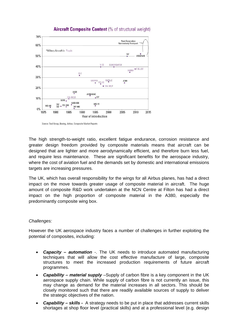

# Aircraft Composite Content (% of structural weight)

Source: Teal Group, Boeing, Airbus, Composite Market Reports

The high strength-to-weight ratio, excellent fatigue endurance, corrosion resistance and greater design freedom provided by composite materials means that aircraft can be designed that are lighter and more aerodynamically efficient, and therefore burn less fuel, and require less maintenance. These are significant benefits for the aerospace industry, where the cost of aviation fuel and the demands set by domestic and international emissions targets are increasing pressures.

The UK, which has overall responsibility for the wings for all Airbus planes, has had a direct impact on the move towards greater usage of composite material in aircraft. The huge amount of composite R&D work undertaken at the NCN Centre at Filton has had a direct impact on the high proportion of composite material in the A380, especially the predominantly composite wing box.

#### *Challenges:*

However the UK aerospace industry faces a number of challenges in further exploiting the potential of composites, including:

- *Capacity automation* -. The UK needs to introduce automated manufacturing techniques that will allow the cost effective manufacture of large, composite structures to meet the increased production requirements of future aircraft programmes.
- *Capability material supply* –Supply of carbon fibre is a key component in the UK aerospace supply chain. While supply of carbon fibre is not currently an issue, this may change as demand for the material increases in all sectors. This should be closely monitored such that there are readily available sources of supply to deliver the strategic objectives of the nation.
- *Capability skills* A strategy needs to be put in place that addresses current skills shortages at shop floor level (practical skills) and at a professional level (e.g. design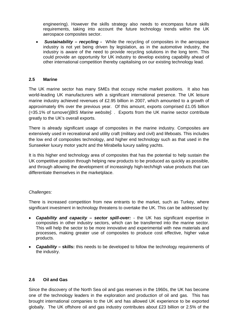engineering). However the skills strategy also needs to encompass future skills requirements, taking into account the future technology trends within the UK aerospace composites sector.

• *Sustainability – recycling -* While the recycling of composites in the aerospace industry is not yet being driven by legislation, as in the automotive industry, the industry is aware of the need to provide recycling solutions in the long term. This could provide an opportunity for UK industry to develop existing capability ahead of other international competition thereby capitalising on our existing technology lead.

# **2.5 Marine**

The UK marine sector has many SMEs that occupy niche market positions. It also has world-leading UK manufacturers with a significant international presence. The UK leisure marine industry achieved revenues of £2.95 billion in 2007, which amounted to a growth of approximately 6% over the previous year. Of this amount, exports comprised £1.05 billion (=35.1% of turnover)*[BIS Marine website].* . Exports from the UK marine sector contribute greatly to the UK's overall exports.

There is already significant usage of composites in the marine industry. Composites are extensively used in recreational and utility craft (military and civil) and lifeboats. This includes the low end of composites technology, and higher end technology such as that used in the Sunseeker luxury motor yacht and the Mirabella luxury sailing yachts.

It is this higher end technology area of composites that has the potential to help sustain the UK competitive position through helping new products to be produced as quickly as possible, and through allowing the development of increasingly high-tech/high value products that can differentiate themselves in the marketplace.

#### *Challenges:*

There is increased competition from new entrants to the market, such as Turkey, where significant investment in technology threatens to overtake the UK. This can be addressed by:

- *Capability and capacity sector spill-over:* the UK has significant expertise in composites in other industry sectors, which can be transferred into the marine sector. This will help the sector to be more innovative and experimental with new materials and processes, making greater use of composites to produce cost effective, higher value products.
- *Capability –* **skills:** this needs to be developed to follow the technology requirements of the industry.

#### **2.6 Oil and Gas**

Since the discovery of the North Sea oil and gas reserves in the 1960s, the UK has become one of the technology leaders in the exploration and production of oil and gas. This has brought international companies to the UK and has allowed UK experience to be exported globally. The UK offshore oil and gas industry contributes about £23 billion or 2.5% of the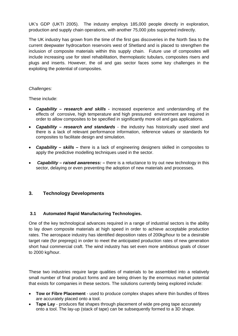UK's GDP (UKTI 2005). The industry employs 185,000 people directly in exploration, production and supply chain operations, with another 75,000 jobs supported indirectly.

The UK industry has grown from the time of the first gas discoveries in the North Sea to the current deepwater hydrocarbon reservoirs west of Shetland and is placed to strengthen the inclusion of composite materials within this supply chain. Future use of composites will include increasing use for steel rehabilitation, thermoplastic tubulars, composites risers and plugs and inserts. However, the oil and gas sector faces some key challenges in the exploiting the potential of composites.

#### *Challenges:*

These include:

- *Capability research and skills* increased experience and understanding of the effects of corrosive, high temperature and high pressured environment are required in order to allow composites to be specified in significantly more oil and gas applications.
- *Capability research and standards* the industry has historically used steel and there is a lack of relevant performance information, reference values or standards for composites to facilitate design and simulation.
- *Capability skills* there is a lack of engineering designers skilled in composites to apply the predictive modelling techniques used in the sector.
- • *Capability raised awareness:* there is a reluctance to try out new technology in this sector, delaying or even preventing the adoption of new materials and processes.

# **3. Technology Developments**

#### **3.1 Automated Rapid Manufacturing Technologies.**

One of the key technological advances required in a range of industrial sectors is the ability to lay down composite materials at high speed in order to achieve acceptable production rates. The aerospace industry has identified deposition rates of 200kg/hour to be a desirable target rate (for prepregs) in order to meet the anticipated production rates of new generation short haul commercial craft. The wind industry has set even more ambitious goals of closer to 2000 kg/hour.

These two industries require large qualities of materials to be assembled into a relatively small number of final product forms and are being driven by the enormous market potential that exists for companies in these sectors. The solutions currently being explored include:

- **Tow or Fibre Placement** used to produce complex shapes where thin bundles of fibres are accurately placed onto a tool.
- **Tape Lay** produces flat shapes through placement of wide pre-preg tape accurately onto a tool. The lay-up (stack of tape) can be subsequently formed to a 3D shape.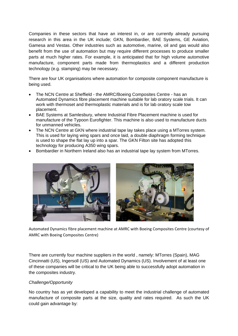Companies in these sectors that have an interest in, or are currently already pursuing research in this area in the UK include; GKN, Bombardier, BAE Systems, GE Aviation, Gamesa and Vestas. Other industries such as automotive, marine, oil and gas would also benefit from the use of automation but may require different processes to produce smaller parts at much higher rates. For example, it is anticipated that for high volume automotive manufacture, component parts made from thermoplastics and a different production technology (e.g. stamping) may be necessary.

There are four UK organisations where automation for composite component manufacture is being used.

- The NCN Centre at Sheffield the AMRC/Boeing Composites Centre has an Automated Dynamics fibre placement machine suitable for lab oratory scale trials. It can work with thermoset and thermoplastic materials and is for lab oratory scale tow placement.
- BAE Systems at Samlesbury, where Industrial Fibre Placement machine is used for manufacture of the Typoon Eurofighter. This machine is also used to manufacture ducts for unmanned vehicles.
- The NCN Centre at GKN where industrial tape lay takes place using a MTorres system. This is used for laying wing spars and once laid, a double diaphragm forming technique is used to shape the flat lay up into a spar. The GKN Filton site has adopted this technology for producing A350 wing spars.





Automated Dynamics fibre placement machine at AMRC with Boeing Composites Centre (courtesy of AMRC with Boeing Composites Centre)

There are currently four machine suppliers in the world , namely: MTorres (Spain), MAG Cincinnatti (US), Ingersoll (US) and Automated Dynamics (US). Involvement of at least one of these companies will be critical to the UK being able to successfully adopt automation in the composites industry.

#### *Challenge/Opportunity*

No country has as yet developed a capability to meet the industrial challenge of automated manufacture of composite parts at the size, quality and rates required. As such the UK could gain advantage by: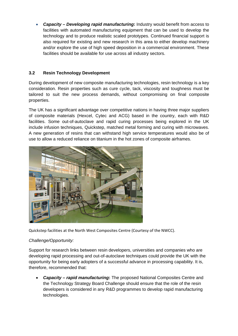• *Capacity – Developing rapid manufacturing***:** Industry would benefit from access to facilities with automated manufacturing equipment that can be used to develop the technology and to produce realistic scaled prototypes. Continued financial support is also required for existing and new research in this area to either develop machinery and/or explore the use of high speed deposition in a commercial environment. These facilities should be available for use across all industry sectors.

# **3.2 Resin Technology Development**

During development of new composite manufacturing technologies, resin technology is a key consideration. Resin properties such as cure cycle, tack, viscosity and toughness must be tailored to suit the new process demands, without compromising on final composite properties.

The UK has a significant advantage over competitive nations in having three major suppliers of composite materials (Hexcel, Cytec and ACG) based in the country, each with R&D facilities. Some out-of-autoclave and rapid curing processes being explored in the UK include infusion techniques, Quickstep, matched metal forming and curing with microwaves. A new generation of resins that can withstand high service temperatures would also be of use to allow a reduced reliance on titanium in the hot zones of composite airframes.



Quickstep facilities at the North West Composites Centre (Courtesy of the NWCC).

# *Challenge/Opportunity:*

Support for research links between resin developers, universities and companies who are developing rapid processing and out-of-autoclave techniques could provide the UK with the opportunity for being early adopters of a successful advance in processing capability. It is, therefore, recommended that:

• *Capacity – rapid manufacturing***:** The proposed National Composites Centre and the Technology Strategy Board Challenge should ensure that the role of the resin developers is considered in any R&D programmes to develop rapid manufacturing technologies.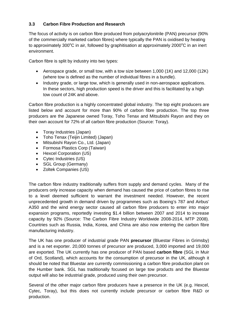# **3.3 Carbon Fibre Production and Research**

The focus of activity is on carbon fibre produced from polyacrylonitrile (PAN) precursor (90% of the commercially marketed carbon fibres) where typically the PAN is oxidised by heating to approximately 300 $\mathrm{^{\circ}C}$  in air, followed by graphitisation at approximately 2000 $\mathrm{^{\circ}C}$  in an inert environment.

Carbon fibre is split by industry into two types:

- Aerospace grade, or small tow, with a tow size between 1,000 (1K) and 12,000 (12K) (where tow is defined as the number of individual fibres in a bundle).
- Industry grade, or large tow, which is generally used in non-aerospace applications. In these sectors, high production speed is the driver and this is facilitated by a high tow count of 24K and above.

Carbon fibre production is a highly concentrated global industry. The top eight producers are listed below and account for more than 90% of carbon fibre production. The top three producers are the Japanese owned Toray, Toho Tenax and Mitsubishi Rayon and they on their own account for 72% of all carbon fibre production (Source: Toray).

- Toray Industries (Japan)
- Toho Tenax (Teijin Limited) (Japan)
- Mitsubishi Rayon Co., Ltd. (Japan)
- Formosa Plastics Corp (Taiwan)
- Hexcel Corporation (US)
- Cytec Industries (US)
- SGL Group (Germany)
- Zoltek Companies (US)

The carbon fibre industry traditionally suffers from supply and demand cycles. Many of the producers only increase capacity when demand has caused the price of carbon fibres to rise to a level deemed sufficient to warrant the investment needed. However, the recent unprecedented growth in demand driven by programmes such as Boeing's 787 and Airbus' A350 and the wind energy sector caused all carbon fibre producers to enter into major expansion programs, reportedly investing \$1.4 billion between 2007 and 2014 to increase capacity by 92% (Source: The Carbon Fibre Industry Worldwide 2008-2014, MTP 2008). Countries such as Russia, India, Korea, and China are also now entering the carbon fibre manufacturing industry.

The UK has one producer of industrial grade PAN **precursor** (Bluestar Fibres in Grimsby) and is a net exporter. 20,000 tonnes of precursor are produced, 3,000 imported and 19,000 are exported. The UK currently has one producer of PAN based **carbon fibre** (SGL in Muir of Ord, Scotland), which accounts for the consumption of precursor in the UK, although it should be noted that Bluestar are currently commissioning a carbon fibre production plant on the Humber bank. SGL has traditionally focused on large tow products and the Bluestar output will also be industrial grade, produced using their own precursor.

Several of the other major carbon fibre producers have a presence in the UK (e.g. Hexcel, Cytec, Toray), but this does not currently include precursor or carbon fibre R&D or production.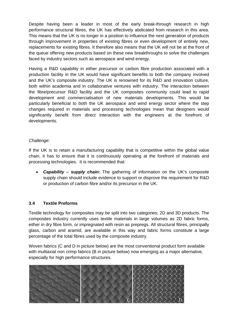Despite having been a leader in most of the early break-through research in high performance structural fibres, the UK has effectively abdicated from research in this area. This means that the UK is no longer in a position to influence the next generation of products through improvement in properties of existing fibres or even development of entirely new, replacements for existing fibres. It therefore also means that the UK will not be at the front of the queue offering new products based on these new breakthroughs to solve the challenges faced by industry sectors such as aerospace and wind energy.

Having a R&D capability in either precursor or carbon fibre production associated with a production facility in the UK would have significant benefits to both the company involved and the UK's composite industry. The UK is renowned for its R&D and innovation culture, both within academia and in collaborative ventures with industry. The interaction between the fibre/precursor R&D facility and the UK composites community could lead to rapid development and commercialisation of new materials developments. This would be particularly beneficial to both the UK aerospace and wind energy sector where the step changes required in materials and processing technologies mean that designers would significantly benefit from direct interaction with the engineers at the forefront of developments.

#### *Challenge:*

If the UK is to retain a manufacturing capability that is competitive within the global value chain, it has to ensure that it is continuously operating at the forefront of materials and processing technologies. It is recommended that:

• *Capability – supply chain:* The gathering of information on the UK's composite supply chain should include evidence to support or disprove the requirement for R&D or production of carbon fibre and/or its precursor in the UK.

#### **3.4 Textile Preforms**

Textile technology for composites may be split into two categories; 2D and 3D products. The composites industry currently uses textile materials in large volumes as 2D fabric forms, either in dry fibre form, or impregnated with resin as prepregs. All structural fibres, principally glass, carbon and aramid, are available in this way and fabric forms constitute a large percentage of the total fibres used by the composite industry.

Woven fabrics (C and D in picture below) are the most conventional product form available with multiaxial non crimp fabrics (B in picture below) now emerging as a major alternative, especially for high performance structures.

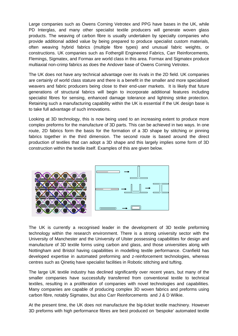Large companies such as Owens Corning Vetrotex and PPG have bases in the UK, while PD Interglas, and many other specialist textile producers will generate woven glass products. The weaving of carbon fibre is usually undertaken by specialty companies who provide additional added value by being prepared to produce specialist custom materials, often weaving hybrid fabrics (multiple fibre types) and unusual fabric weights, or constructions. UK companies such as Fothergill Engineered Fabrics, Carr Reinforcements, Flemings, Sigmatex, and Formax are world class in this area. Formax and Sigmatex produce multiaxial non-crimp fabrics as does the Andover base of Owens Corning Vetrotex.

The UK does not have any technical advantage over its rivals in the 2D field. UK companies are certainly of world class stature and there is a benefit in the smaller and more specialised weavers and fabric producers being close to their end-user markets. It is likely that future generations of structural fabrics will begin to incorporate additional features including specialist fibres for sensing, enhanced damage tolerance and lightning strike protection. Retaining such a manufacturing capability within the UK is essential if the UK design base is to take full advantage of such innovations.

Looking at 3D technology, this is now being used to an increasing extent to produce more complex preforms for the manufacture of 3D parts. This can be achieved in two ways. In one route, 2D fabrics form the basis for the formation of a 3D shape by stitching or pinning fabrics together in the third dimension. The second route is based around the direct production of textiles that can adopt a 3D shape and this largely implies some form of 3D construction within the textile itself. Examples of this are given below.



The UK is currently a recognised leader in the development of 3D textile preforming technology within the research environment. There is a strong university sector with the University of Manchester and the University of Ulster possessing capabilities for design and manufacture of 3D textile forms using carbon and glass, and those universities along with Nottingham and Bristol having capabilities in modelling textile performance. Cranfield has developed expertise in automated preforming and z-reinforcement technologies, whereas centres such as Qinetiq have specialist facilities in Robotic stitching and tufting.

The large UK textile industry has declined significantly over recent years, but many of the smaller companies have successfully transferred from conventional textile to technical textiles, resulting in a proliferation of companies with novel technologies and capabilities. Many companies are capable of producing complex 3D woven fabrics and preforms using carbon fibre, notably Sigmatex, but also Carr Reinforcements and J & D Wilkie.

At the present time, the UK does not manufacture the big-ticket textile machinery. However 3D preforms with high performance fibres are best produced on 'bespoke' automated textile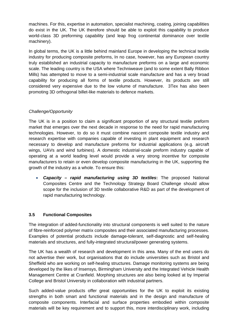machines. For this, expertise in automation, specialist machining, coating, joining capabilities do exist in the UK. The UK therefore should be able to exploit this capability to produce world-class 3D preforming capability (and leap frog continental dominance over textile machinery).

In global terms, the UK is a little behind mainland Europe in developing the technical textile industry for producing composite preforms, In no case, however, has any European country truly established an industrial capacity to manufacture preforms on a large and economic scale. The leading country is the USA where Techniweave (and to some extent Bally Ribbon Mills) has attempted to move to a semi-industrial scale manufacture and has a very broad capability for producing all forms of textile products. However, its products are still considered very expensive due to the low volume of manufacture. 3Tex has also been promoting 3D orthogonal billet-like materials to defence markets.

#### *Challenge/Opportunity*

The UK is in a position to claim a significant proportion of any structural textile preform market that emerges over the next decade in response to the need for rapid manufacturing technologies. However, to do so it must combine nascent composite textile industry and research expertise with companies capable of investing in plant equipment and research necessary to develop and manufacture preforms for industrial applications (e.g. aircraft wings, UAVs and wind turbines). A domestic industrial-scale preform industry capable of operating at a world leading level would provide a very strong incentive for composite manufacturers to retain or even develop composite manufacturing in the UK, supporting the growth of the industry as a whole. To ensure this:

• *Capacity – rapid manufacturing using 3D textiles***:** The proposed National Composites Centre and the Technology Strategy Board Challenge should allow scope for the inclusion of 3D textile collaborative R&D as part of the development of rapid manufacturing technology.

#### **3.5 Functional Composites**

The integration of added-functionality into structural components is well suited to the nature of fibre-reinforced polymer matrix composites and their associated manufacturing processes. Examples of potential products include damage-tolerant, self-diagnostic and self-healing materials and structures, and fully-integrated structural/power generating systems.

The UK has a wealth of research and development in this area. Many of the end users do not advertise their work, but organisations that do include universities such as Bristol and Sheffield who are working on self-healing structures. Damage monitoring systems are being developed by the likes of Insensys, Birmingham University and the Integrated Vehicle Health Management Centre at Cranfield. Morphing structures are also being looked at by Imperial College and Bristol University in collaboration with industrial partners.

Such added-value products offer great opportunities for the UK to exploit its existing strengths in both smart and functional materials and in the design and manufacture of composite components. Interfacial and surface properties embodied within composite materials will be key requirement and to support this, more interdisciplinary work, including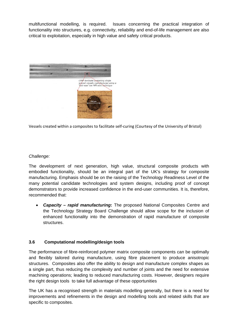multifunctional modelling, is required. Issues concerning the practical integration of functionality into structures, e.g. connectivity, reliability and end-of-life management are also critical to exploitation, especially in high value and safety critical products.



Vessels created within a composites to facilitate self‐curing (Courtesy of the University of Bristol)

#### *Challenge:*

The development of next generation, high value, structural composite products with embodied functionality, should be an integral part of the UK's strategy for composite manufacturing. Emphasis should be on the raising of the Technology Readiness Level of the many potential candidate technologies and system designs, including proof of concept demonstrators to provide increased confidence in the end-user communities. It is, therefore, recommended that:

• *Capacity – rapid manufacturing***:** The proposed National Composites Centre and the Technology Strategy Board Challenge should allow scope for the inclusion of enhanced functionality into the demonstration of rapid manufacture of composite structures.

#### **3.6 Computational modelling/design tools**

The performance of fibre-reinforced polymer matrix composite components can be optimally and flexibly tailored during manufacture, using fibre placement to produce anisotropic structures. Composites also offer the ability to design and manufacture complex shapes as a single part, thus reducing the complexity and number of joints and the need for extensive machining operations; leading to reduced manufacturing costs. However, designers require the right design tools to take full advantage of these opportunities

The UK has a recognised strength in materials modelling generally, but there is a need for improvements and refinements in the design and modelling tools and related skills that are specific to composites.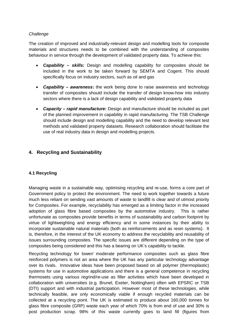# *Challenge*

The creation of improved and industrially-relevant design and modelling tools for composite materials and structures needs to be combined with the understanding of composites behaviour in service through the development of validated property data. To achieve this:

- *Capability skills:* Design and modelling capability for composites should be included in the work to be taken forward by SEMTA and Cogent. This should specifically focus on industry sectors, such as oil and gas
- *Capability awareness***:** the work being done to raise awareness and technology transfer of composites should include the transfer of design know-how into industry sectors where there is a lack of design capability and validated property data
- *Capacity rapid manufacture***:** Design and manufacture should be included as part of the planned improvement in capability in rapid manufacturing. The TSB Challenge should include design and modelling capability and the need to develop relevant test methods and validated property datasets. Research collaboration should facilitate the use of real industry data in design and modelling projects.

# **4. Recycling and Sustainability**

# **4.1 Recycling**

Managing waste in a sustainable way, optimising recycling and re-use, forms a core part of Government policy to protect the environment. The need to work together towards a future much less reliant on sending vast amounts of waste to landfill is clear and of utmost priority for Composites. For example, recyclability has emerged as a limiting factor in the increased adoption of glass fibre based composites by the automotive industry. This is rather unfortunate as composites provide benefits in terms of sustainability and carbon footprint by virtue of lightweighting and energy efficiency and in some instances by their ability to incorporate sustainable natural materials (both as reinforcements and as resin systems). It is, therefore, in the interest of the UK economy to address the recyclability and reusability of issues surrounding composites. The specific issues are different depending on the type of composites being considered and this has a bearing on UK's capability to tackle.

Recycling technology for lower/ moderate performance composites such as glass fibre reinforced polymers is not an area where the UK has any particular technology advantage over its rivals. Innovative ideas have been proposed based on all polymer (thermoplastic) systems for use in automotive applications and there is a general competence in recycling thermosets using various regrind/re-use as filler activities which have been developed in collaboration with universities (e.g. Brunel, Exeter, Nottingham) often with EPSRC or TSB (DTI) support and with industrial participation. However most of these technologies, while technically feasible, are only economically viable if enough recycled materials can be collected at a recycling point. The UK is estimated to produce about 160,000 tonnes for glass fibre composite (GRP) waste each year of which 70% is from end of use and 30% is post production scrap. 98% of this waste currently goes to land fill (figures from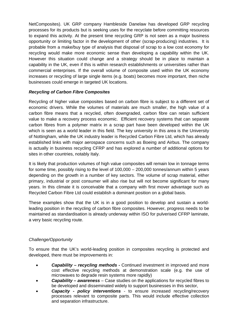NetComposites). UK GRP company Hambleside Danelaw has developed GRP recycling processes for its products but is seeking uses for the recyclate before committing resources to expand this activity. At the present time recycling GRP is not seen as a major business opportunity or limiting factor in the development of other (scrap-producing) industries. It is probable from a make/buy type of analysis that disposal of scrap to a low cost economy for recycling would make more economic sense than developing a capability within the UK. However this situation could change and a strategy should be in place to maintain a capability in the UK, even if this is within research establishments or universities rather than commercial enterprises. If the overall volume of composite used within the UK economy increases or recycling of large single items (e.g. boats) becomes more important, then niche businesses could emerge in targeted UK locations.

# *Recycling of Carbon Fibre Composites*

Recycling of higher value composites based on carbon fibre is subject to a different set of economic drivers. While the volumes of materials are much smaller, the high value of a carbon fibre means that a recycled, often downgraded, carbon fibre can retain sufficient value to make a recovery process economic. Efficient recovery systems that can separate carbon fibres from a polymer matrix in a scrap part have been developed within the UK which is seen as a world leader in this field. The key university in this area is the University of Nottingham, while the UK industry leader is Recycled Carbon Fibre Ltd, which has already established links with major aerospace concerns such as Boeing and Airbus. The company is actually in business recycling CFRP and has explored a number of additional options for sites in other countries, notably Italy.

It is likely that production volumes of high value composites will remain low in tonnage terms for some time, possibly rising to the level of 100,000 – 200,000 tonnes/annum within 5 years depending on the growth in a number of key sectors. The volume of scrap material, either primary, industrial or post consumer will also rise but will not become significant for many years. In this climate it is conceivable that a company with first mover advantage such as Recycled Carbon Fibre Ltd could establish a dominant position on a global basis.

These examples show that the UK is in a good position to develop and sustain a worldleading position in the recycling of carbon fibre composites. However, progress needs to be maintained as standardisation is already underway within ISO for pulverised CFRP laminate, a very basic recycling route.

# *Challenge/Opportunity*

To ensure that the UK's world-leading position in composites recycling is protected and developed, there must be improvements in:

- *Capability recycling methods*Continued investment in improved and more cost effective recycling methods at demonstration scale (e.g. the use of microwaves to degrade resin systems more rapidly)
- *Capability awareness* Case studies on the applications for recycled fibres to be developed and disseminated widely to support businesses in this sector,
- *Capacity policy interventions* to ensure increased recycling/recovery processes relevant to composite parts. This would include effective collection and separation infrastructure.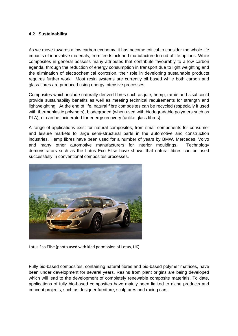#### **4.2 Sustainability**

As we move towards a low carbon economy, it has become critical to consider the whole life impacts of innovative materials, from feedstock and manufacture to end-of life options. While composites in general possess many attributes that contribute favourably to a low carbon agenda, through the reduction of energy consumption in transport due to light weighting and the elimination of electrochemical corrosion, their role in developing sustainable products requires further work. Most resin systems are currently oil based while both carbon and glass fibres are produced using energy intensive processes.

Composites which include naturally derived fibres such as jute, hemp, ramie and sisal could provide sustainability benefits as well as meeting technical requirements for strength and lightweighting. At the end of life, natural fibre composites can be recycled (especially if used with thermoplastic polymers), biodegraded (when used with biodegradable polymers such as PLA), or can be incinerated for energy recovery (unlike glass fibres).

A range of applications exist for natural composites, from small components for consumer and leisure markets to large semi-structural parts in the automotive and construction industries. Hemp fibres have been used for a number of years by BMW, Mercedes, Volvo and many other automotive manufacturers for interior mouldings. Technology demonstrators such as the Lotus Eco Elise have shown that natural fibres can be used successfully in conventional composites processes.



Lotus Eco Elise (photo used with kind permission of Lotus, UK)

Fully bio-based composites, containing natural fibres and bio-based polymer matrices, have been under development for several years. Resins from plant origins are being developed which will lead to the development of completely renewable composite materials. To date, applications of fully bio-based composites have mainly been limited to niche products and concept projects, such as designer furniture, sculptures and racing cars.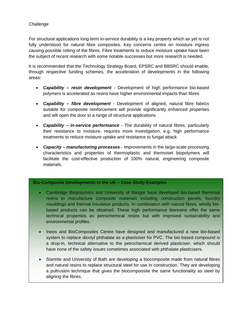# *Challenge*

For structural applications long-term in-service durability is a key property which as yet is not fully understood for natural fibre composites. Key concerns centre on moisture ingress causing possible rotting of the fibres. Fibre treatments to reduce moisture uptake have been the subject of recent research with some notable successes but more research is needed.

It is recommended that the Technology Strategy Board, EPSRC and BBSRC should enable, through respective funding schemes, the acceleration of developments in the following areas:

- *Capability resin development* Development of high performance bio-based polymers is accelerated as resins have higher environmental impacts than fibres
- *Capability fibre development*  Development of aligned, natural fibre fabrics suitable for composite reinforcement will provide significantly enhanced properties and will open the door to a range of structural applications
- *Capability in-service performance* The durability of natural fibres, particularly their resistance to moisture, requires more investigation, e.g. high performance treatments to reduce moisture uptake and resistance to fungal attack
- *Capacity manufacturing processes* Improvements in the large-scale processing characteristics and properties of thermoplastic and thermoset biopolymers will facilitate the cost-effective production of 100% natural, engineering composite materials.

#### **Bio-Composite Developments in the UK – Case Study Examples**

- Cambridge Biopolymers and University of Bangor have developed bio-based themoset resins to manufacture composite materials including construction panels, foundry mouldings and thermal insulation products. In combination with natural fibres, wholly biobased products can be obtained. These high performance bioresins offer the same technical properties as petrochemical resins but with improved sustainability and environmental profiles.
- Ineos and BioComposites Centre have designed and manufactured a new bio-based system to replace dioctyl phthalate as a plasticiser for PVC. The bio-based compound is a drop-in, technical alternative to the petrochemical derived plasticiser, which should have none of the safety issues sometimes associated with phthalate plasticisers.
- Startrite and University of Bath are developing a biocomposite made from natural fibres and natural resins to replace structural steel for use in construction. They are developing a pultrusion technique that gives the biocompoosite the same functionality as steel by aligning the fibres.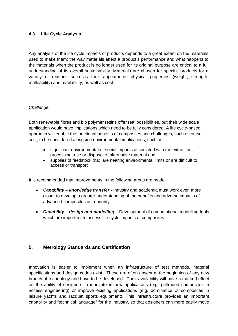# **4.3 Life Cycle Analysis**

Any analysis of the life cycle impacts of products depends to a great extent on the materials used to make them: the way materials affect a product's performance and what happens to the materials when the product is no longer used for its original purpose are critical to a full understanding of its overall sustainability. Materials are chosen for specific products for a variety of reasons such as their appearance, physical properties (weight, strength, malleability) and availability, as well as cost.

#### *Challenge*

Both renewable fibres and bio polymer resins offer real possibilities, but their wide scale application would have implications which need to be fully considered**.** A life cycle-based approach will enable the functional benefits of composites and challenges, such as outset cost, to be considered alongside environmental implications, such as:

- significant environmental or social impacts associated with the extraction, processing, use or disposal of alternative material and
- supplies of feedstock that are nearing environmental limits or are difficult to access or transport

It is recommended that improvements in the following areas are made:

- *Capability knowledge transfer*Industry and academia must work even more closer to develop a greater understanding of the benefits and adverse impacts of advanced composites as a priority.
- *Capability design and modelling* Development of computational modelling tools which are important to assess life cycle impacts of composites.

# **5. Metrology Standards and Certification**

Innovation is easier to implement when an infrastructure of test methods, material specifications and design codes exist. These are often absent at the beginning of any new branch of technology and have to be developed. Their availability will have a marked effect on the ability of designers to innovate in new applications (e.g. pultruded composites in access engineering) or improve existing applications (e.g. dominance of composites in leisure yachts and racquet sports equipment). This infrastructure provides an important capability and "technical language" for the industry, so that designers can more easily move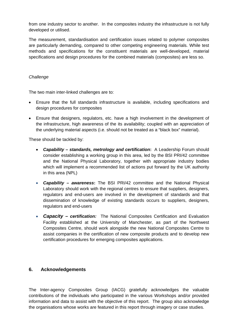from one industry sector to another. In the composites industry the infrastructure is not fully developed or utilised.

The measurement, standardisation and certification issues related to polymer composites are particularly demanding, compared to other competing engineering materials. While test methods and specifications for the constituent materials are well-developed, material specifications and design procedures for the combined materials (composites) are less so.

#### *Challenge*

The two main inter-linked challenges are to:

- Ensure that the full standards infrastructure is available, including specifications and design procedures for composites
- Ensure that designers, regulators, etc. have a high involvement in the development of the infrastructure, high awareness of the its availability; coupled with an appreciation of the underlying material aspects (i.e. should not be treated as a "black box" material).

These should be tackled by:

- *Capability standards, metrology and certification***:** A Leadership Forum should consider establishing a working group in this area, led by the BSI PRI/42 committee and the National Physical Laboratory, together with appropriate industry bodies which will implement a recommended list of actions put forward by the UK authority in this area (NPL)
- *Capability awareness***:** The BSI PRI/42 committee and the National Physical Laboratory should work with the regional centres to ensure that suppliers, designers, regulators and end-users are involved in the development of standards and that dissemination of knowledge of existing standards occurs to suppliers, designers, regulators and end-users
- *Capacity – certification:* The National Composites Certification and Evaluation Facility established at the University of Manchester, as part of the Northwest Composites Centre, should work alongside the new National Composites Centre to assist companies in the certification of new composite products and to develop new certification procedures for emerging composites applications.

# **6. Acknowledgements**

The Inter-agency Composites Group (IACG) gratefully acknowledges the valuable contributions of the individuals who participated in the various Workshops and/or provided information and data to assist with the objective of this report. The group also acknowledge the organisations whose works are featured in this report through imagery or case studies.